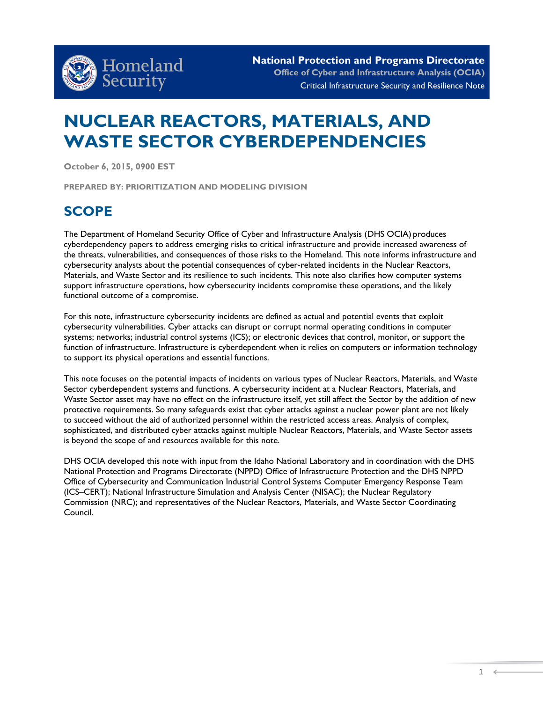

# **NUCLEAR REACTORS, MATERIALS, AND WASTE SECTOR CYBERDEPENDENCIES**

**October 6, 2015, 0900 EST** 

**PREPARED BY: PRIORITIZATION AND MODELING DIVISION**

### **SCOPE**

The Department of Homeland Security Office of Cyber and Infrastructure Analysis (DHS OCIA) produces cyberdependency papers to address emerging risks to critical infrastructure and provide increased awareness of the threats, vulnerabilities, and consequences of those risks to the Homeland. This note informs infrastructure and cybersecurity analysts about the potential consequences of cyber-related incidents in the Nuclear Reactors, Materials, and Waste Sector and its resilience to such incidents. This note also clarifies how computer systems support infrastructure operations, how cybersecurity incidents compromise these operations, and the likely functional outcome of a compromise.

For this note, infrastructure cybersecurity incidents are defined as actual and potential events that exploit cybersecurity vulnerabilities. Cyber attacks can disrupt or corrupt normal operating conditions in computer systems; networks; industrial control systems (ICS); or electronic devices that control, monitor, or support the function of infrastructure. Infrastructure is cyberdependent when it relies on computers or information technology to support its physical operations and essential functions.

This note focuses on the potential impacts of incidents on various types of Nuclear Reactors, Materials, and Waste Sector cyberdependent systems and functions. A cybersecurity incident at a Nuclear Reactors, Materials, and Waste Sector asset may have no effect on the infrastructure itself, yet still affect the Sector by the addition of new protective requirements. So many safeguards exist that cyber attacks against a nuclear power plant are not likely to succeed without the aid of authorized personnel within the restricted access areas. Analysis of complex, sophisticated, and distributed cyber attacks against multiple Nuclear Reactors, Materials, and Waste Sector assets is beyond the scope of and resources available for this note.

DHS OCIA developed this note with input from the Idaho National Laboratory and in coordination with the DHS National Protection and Programs Directorate (NPPD) Office of Infrastructure Protection and the DHS NPPD Office of Cybersecurity and Communication Industrial Control Systems Computer Emergency Response Team (ICS–CERT); National Infrastructure Simulation and Analysis Center (NISAC); the Nuclear Regulatory Commission (NRC); and representatives of the Nuclear Reactors, Materials, and Waste Sector Coordinating Council.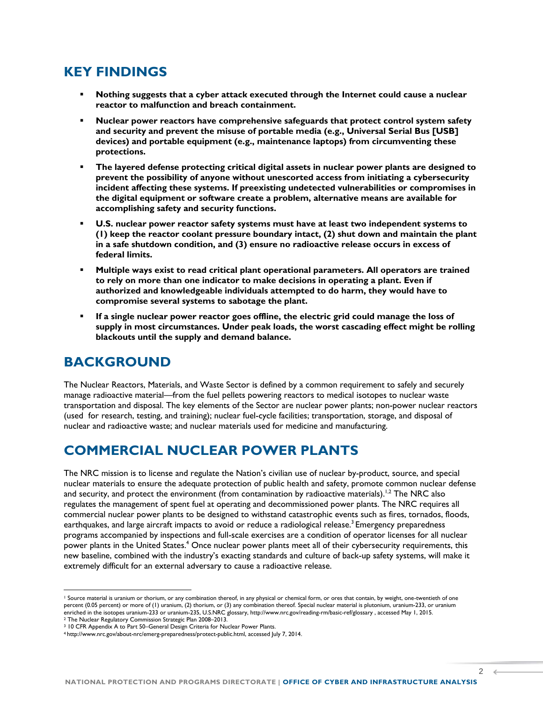### **KEY FINDINGS**

- **Nothing suggests that a cyber attack executed through the Internet could cause a nuclear reactor to malfunction and breach containment.**
- **Nuclear power reactors have comprehensive safeguards that protect control system safety and security and prevent the misuse of portable media (e.g., Universal Serial Bus [USB] devices) and portable equipment (e.g., maintenance laptops) from circumventing these protections.**
- **The layered defense protecting critical digital assets in nuclear power plants are designed to prevent the possibility of anyone without unescorted access from initiating a cybersecurity incident affecting these systems. If preexisting undetected vulnerabilities or compromises in the digital equipment or software create a problem, alternative means are available for accomplishing safety and security functions.**
- **U.S. nuclear power reactor safety systems must have at least two independent systems to (1) keep the reactor coolant pressure boundary intact, (2) shut down and maintain the plant in a safe shutdown condition, and (3) ensure no radioactive release occurs in excess of federal limits.**
- **Multiple ways exist to read critical plant operational parameters. All operators are trained to rely on more than one indicator to make decisions in operating a plant. Even if authorized and knowledgeable individuals attempted to do harm, they would have to compromise several systems to sabotage the plant.**
- **If a single nuclear power reactor goes offline, the electric grid could manage the loss of supply in most circumstances. Under peak loads, the worst cascading effect might be rolling blackouts until the supply and demand balance.**

### **BACKGROUND**

The Nuclear Reactors, Materials, and Waste Sector is defined by a common requirement to safely and securely manage radioactive material—from the fuel pellets powering reactors to medical isotopes to nuclear waste transportation and disposal. The key elements of the Sector are nuclear power plants; non-power nuclear reactors (used for research, testing, and training); nuclear fuel-cycle facilities; transportation, storage, and disposal of nuclear and radioactive waste; and nuclear materials used for medicine and manufacturing.

### **COMMERCIAL NUCLEAR POWER PLANTS**

The NRC mission is to license and regulate the Nation's civilian use of nuclear by-product, source, and special nuclear materials to ensure the adequate protection of public health and safety, promote common nuclear defense and security, and protect the environment (from contamination by radioactive materials). $^{1,2}$  The NRC also regulates the management of spent fuel at operating and decommissioned power plants. The NRC requires all commercial nuclear power plants to be designed to withstand catastrophic events such as fires, tornados, floods, earthquakes, and large aircraft impacts to avoid or reduce a radiological release.<sup>3</sup> Emergency preparedness programs accompanied by inspections and full-scale exercises are a condition of operator licenses for all nuclear power plants in the United States.<sup>4</sup> Once nuclear power plants meet all of their cybersecurity requirements, this new baseline, combined with the industry's exacting standards and culture of back-up safety systems, will make it extremely difficult for an external adversary to cause a radioactive release.

l

2

 $\epsilon$ 

<sup>&</sup>lt;sup>1</sup> Source material is [uranium](http://www.nrc.gov/reading-rm/basic-ref/glossary/uranium.html) or thorium, or any combination thereof, in any physical or chemical form, or ores that contain, by weight, one-twentieth of one percent (0.05 percent) or more of (1) uranium, (2) thorium, or (3) any combination thereof. Special nuclear material is [plutonium,](http://www.nrc.gov/reading-rm/basic-ref/glossary/plutonium-pu.html) [uranium-233,](http://www.nrc.gov/reading-rm/basic-ref/glossary/uranium.html) or uranium [enriched](http://www.nrc.gov/materials/fuel-cycle-fac/ur-enrichment.html) in th[e isotopes](http://www.nrc.gov/reading-rm/basic-ref/glossary/isotope.html) uranium-233 or uranium-235, U.S.NRC glossary, http://www.nrc.gov/reading-rm/basic-ref/glossary , accessed May 1, 2015.

<sup>2</sup> The Nuclear Regulatory Commission Strategic Plan 2008–2013.

<sup>&</sup>lt;sup>3</sup> 10 CFR Appendix A to Part 50–General Design Criteria for Nuclear Power Plants.

<sup>4</sup> [http://www.nrc.gov/about-nrc/emerg-preparedness/protect-public.html,](http://www.nrc.gov/about-nrc/emerg-preparedness/protect-public.html) accessed July 7, 2014.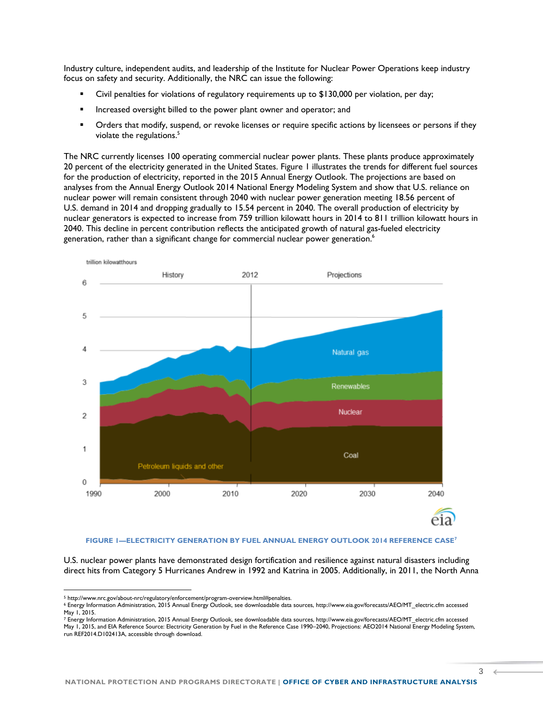Industry culture, independent audits, and leadership of the Institute for Nuclear Power Operations keep industry focus on safety and security. Additionally, the NRC can issue the following:

- Civil penalties for violations of regulatory requirements up to \$130,000 per violation, per day;
- **IF** Increased oversight billed to the power plant owner and operator; and
- Orders that modify, suspend, or revoke licenses or require specific actions by licensees or persons if they violate the regulations. 5

The NRC currently licenses 100 operating commercial nuclear power plants. These plants produce approximately 20 percent of the electricity generated in the United States. Figure 1 illustrates the trends for different fuel sources for the production of electricity, reported in the 2015 Annual Energy Outlook. The projections are based on analyses from the Annual Energy Outlook 2014 National Energy Modeling System and show that U.S. reliance on nuclear power will remain consistent through 2040 with nuclear power generation meeting 18.56 percent of U.S. demand in 2014 and dropping gradually to 15.54 percent in 2040. The overall production of electricity by nuclear generators is expected to increase from 759 trillion kilowatt hours in 2014 to 811 trillion kilowatt hours in 2040. This decline in percent contribution reflects the anticipated growth of natural gas-fueled electricity generation, rather than a significant change for commercial nuclear power generation.<sup>6</sup>



#### **FIGURE 1—ELECTRICITY GENERATION BY FUEL ANNUAL ENERGY OUTLOOK 2014 REFERENCE CASE<sup>7</sup>**

U.S. nuclear power plants have demonstrated design fortification and resilience against natural disasters including direct hits from Category 5 Hurricanes Andrew in 1992 and Katrina in 2005. Additionally, in 2011, the North Anna

l

3

<sup>5</sup> [http://www.nrc.gov/about-nrc/regulatory/enforcement/program-overview.html#penalties.](http://www.nrc.gov/about-nrc/regulatory/enforcement/program-overview.html#penalties)

<sup>6</sup> Energy Information Administration, 2015 Annual Energy Outlook, see downloadable data sources, http://www.eia.gov/forecasts/AEO/MT\_electric.cfm accessed May 1, 2015.

<sup>7</sup> Energy Information Administration, 2015 Annual Energy Outlook, see downloadable data sources, http://www.eia.gov/forecasts/AEO/MT\_electric.cfm accessed May 1, 2015, and EIA Reference Source: Electricity Generation by Fuel in the Reference Case 1990–2040, Projections: AEO2014 National Energy Modeling System, run REF2014.D102413A, accessible through download.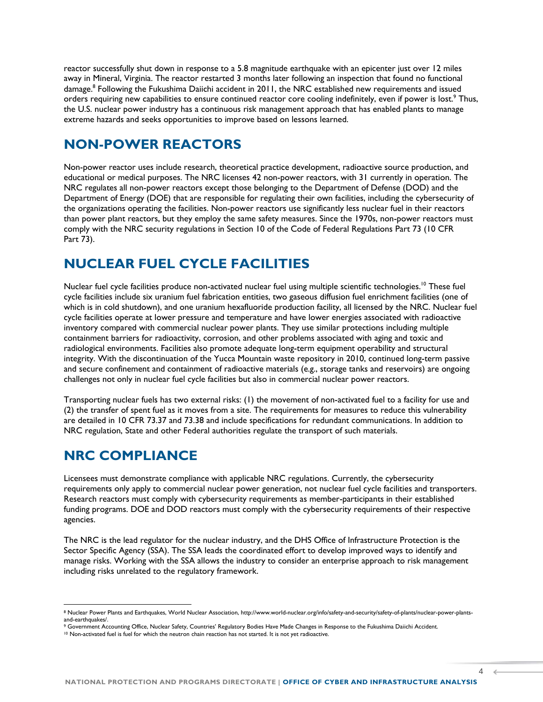reactor successfully shut down in response to a 5.8 magnitude earthquake with an epicenter just over 12 miles away in Mineral, Virginia. The reactor restarted 3 months later following an inspection that found no functional damage.<sup>8</sup> Following the Fukushima Daiichi accident in 2011, the NRC established new requirements and issued orders requiring new capabilities to ensure continued reactor core cooling indefinitely, even if power is lost.<sup>9</sup> Thus, the U.S. nuclear power industry has a continuous risk management approach that has enabled plants to manage extreme hazards and seeks opportunities to improve based on lessons learned.

### **NON-POWER REACTORS**

Non-power reactor uses include research, theoretical practice development, radioactive source production, and educational or medical purposes. The NRC licenses 42 non-power reactors, with 31 currently in operation. The NRC regulates all non-power reactors except those belonging to the Department of Defense (DOD) and the Department of Energy (DOE) that are responsible for regulating their own facilities, including the cybersecurity of the organizations operating the facilities. Non-power reactors use significantly less nuclear fuel in their reactors than power plant reactors, but they employ the same safety measures. Since the 1970s, non-power reactors must comply with the NRC security regulations in Section 10 of the Code of Federal Regulations Part 73 (10 CFR Part 73).

### **NUCLEAR FUEL CYCLE FACILITIES**

Nuclear fuel cycle facilities produce non-activated nuclear fuel using multiple scientific technologies.<sup>10</sup> These fuel cycle facilities include six uranium fuel fabrication entities, two gaseous diffusion fuel enrichment facilities (one of which is in cold shutdown), and one uranium hexafluoride production facility, all licensed by the NRC. Nuclear fuel cycle facilities operate at lower pressure and temperature and have lower energies associated with radioactive inventory compared with commercial nuclear power plants. They use similar protections including multiple containment barriers for radioactivity, corrosion, and other problems associated with aging and toxic and radiological environments. Facilities also promote adequate long-term equipment operability and structural integrity. With the discontinuation of the Yucca Mountain waste repository in 2010, continued long-term passive and secure confinement and containment of radioactive materials (e.g., storage tanks and reservoirs) are ongoing challenges not only in nuclear fuel cycle facilities but also in commercial nuclear power reactors.

Transporting nuclear fuels has two external risks: (1) the movement of non-activated fuel to a facility for use and (2) the transfer of spent fuel as it moves from a site. The requirements for measures to reduce this vulnerability are detailed in 10 CFR 73.37 and 73.38 and include specifications for redundant communications. In addition to NRC regulation, State and other Federal authorities regulate the transport of such materials.

### **NRC COMPLIANCE**

l

Licensees must demonstrate compliance with applicable NRC regulations. Currently, the cybersecurity requirements only apply to commercial nuclear power generation, not nuclear fuel cycle facilities and transporters. Research reactors must comply with cybersecurity requirements as member-participants in their established funding programs. DOE and DOD reactors must comply with the cybersecurity requirements of their respective agencies.

The NRC is the lead regulator for the nuclear industry, and the DHS Office of Infrastructure Protection is the Sector Specific Agency (SSA). The SSA leads the coordinated effort to develop improved ways to identify and manage risks. Working with the SSA allows the industry to consider an enterprise approach to risk management including risks unrelated to the regulatory framework.

 $\Delta$ 

<sup>8</sup> Nuclear Power Plants and Earthquakes, World Nuclear Association[, http://www.world-nuclear.org/info/safety-and-security/safety-of-plants/nuclear-power-plants](http://www.world-nuclear.org/info/safety-and-security/safety-of-plants/nuclear-power-plants-and-earthquakes/)[and-earthquakes/.](http://www.world-nuclear.org/info/safety-and-security/safety-of-plants/nuclear-power-plants-and-earthquakes/)

<sup>9</sup> Government Accounting Office, Nuclear Safety, Countries' Regulatory Bodies Have Made Changes in Response to the Fukushima Daiichi Accident.

<sup>10</sup> Non-activated fuel is fuel for which the neutron chain reaction has not started. It is not yet radioactive.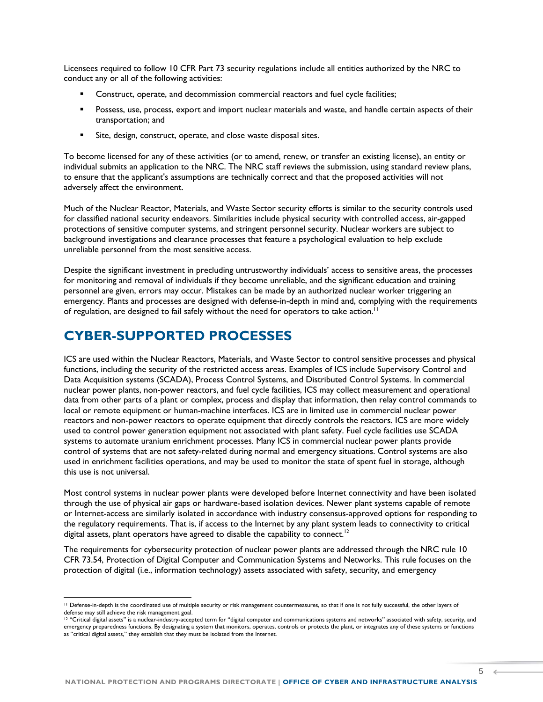Licensees required to follow 10 CFR Part 73 security regulations include all entities authorized by the NRC to conduct any or all of the following activities:

- Construct, operate, and decommission commercial reactors and fuel cycle facilities;
- Possess, use, process, export and import nuclear materials and waste, and handle certain aspects of their transportation; and
- Site, design, construct, operate, and close waste disposal sites.

To become licensed for any of these activities (or to amend, renew, or transfer an existing license), an entity or individual submits an application to the NRC. The NRC staff reviews the submission, using standard review plans, to ensure that the applicant's assumptions are technically correct and that the proposed activities will not adversely affect the environment.

Much of the Nuclear Reactor, Materials, and Waste Sector security efforts is similar to the security controls used for classified national security endeavors. Similarities include physical security with controlled access, air-gapped protections of sensitive computer systems, and stringent personnel security. Nuclear workers are subject to background investigations and clearance processes that feature a psychological evaluation to help exclude unreliable personnel from the most sensitive access.

Despite the significant investment in precluding untrustworthy individuals' access to sensitive areas, the processes for monitoring and removal of individuals if they become unreliable, and the significant education and training personnel are given, errors may occur. Mistakes can be made by an authorized nuclear worker triggering an emergency. Plants and processes are designed with defense-in-depth in mind and, complying with the requirements of regulation, are designed to fail safely without the need for operators to take action.<sup>11</sup>

### **CYBER-SUPPORTED PROCESSES**

l

ICS are used within the Nuclear Reactors, Materials, and Waste Sector to control sensitive processes and physical functions, including the security of the restricted access areas. Examples of ICS include Supervisory Control and Data Acquisition systems (SCADA), Process Control Systems, and Distributed Control Systems. In commercial nuclear power plants, non-power reactors, and fuel cycle facilities, ICS may collect measurement and operational data from other parts of a plant or complex, process and display that information, then relay control commands to local or remote equipment or human-machine interfaces. ICS are in limited use in commercial nuclear power reactors and non-power reactors to operate equipment that directly controls the reactors. ICS are more widely used to control power generation equipment not associated with plant safety. Fuel cycle facilities use SCADA systems to automate uranium enrichment processes. Many ICS in commercial nuclear power plants provide control of systems that are not safety-related during normal and emergency situations. Control systems are also used in enrichment facilities operations, and may be used to monitor the state of spent fuel in storage, although this use is not universal.

Most control systems in nuclear power plants were developed before Internet connectivity and have been isolated through the use of physical air gaps or hardware-based isolation devices. Newer plant systems capable of remote or Internet-access are similarly isolated in accordance with industry consensus-approved options for responding to the regulatory requirements. That is, if access to the Internet by any plant system leads to connectivity to critical digital assets, plant operators have agreed to disable the capability to connect.<sup>12</sup>

The requirements for cybersecurity protection of nuclear power plants are addressed through the NRC rule 10 CFR 73.54, Protection of Digital Computer and Communication Systems and Networks. This rule focuses on the protection of digital (i.e., information technology) assets associated with safety, security, and emergency

<sup>&</sup>lt;sup>11</sup> Defense-in-depth is the coordinated use of multiple security or risk management countermeasures, so that if one is not fully successful, the other layers of defense may still achieve the risk management goal.

<sup>&</sup>lt;sup>12</sup> "Critical digital assets" is a nuclear-industry-accepted term for "digital computer and communications systems and networks" associated with safety, security, and emergency preparedness functions. By designating a system that monitors, operates, controls or protects the plant, or integrates any of these systems or functions as "critical digital assets," they establish that they must be isolated from the Internet.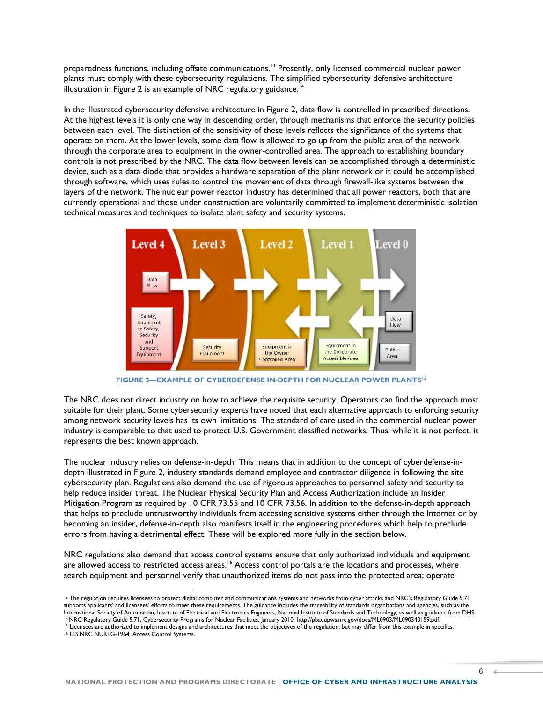preparedness functions, including offsite communications.<sup>13</sup> Presently, only licensed commercial nuclear power plants must comply with these cybersecurity regulations. The simplified cybersecurity defensive architecture illustration in Figure 2 is an example of NRC regulatory guidance.<sup>14</sup>

In the illustrated cybersecurity defensive architecture in Figure 2, data flow is controlled in prescribed directions. At the highest levels it is only one way in descending order, through mechanisms that enforce the security policies between each level. The distinction of the sensitivity of these levels reflects the significance of the systems that operate on them. At the lower levels, some data flow is allowed to go up from the public area of the network through the corporate area to equipment in the owner-controlled area. The approach to establishing boundary controls is not prescribed by the NRC. The data flow between levels can be accomplished through a deterministic device, such as a data diode that provides a hardware separation of the plant network or it could be accomplished through software, which uses rules to control the movement of data through firewall-like systems between the layers of the network. The nuclear power reactor industry has determined that all power reactors, both that are currently operational and those under construction are voluntarily committed to implement deterministic isolation technical measures and techniques to isolate plant safety and security systems.



**FIGURE 2—EXAMPLE OF CYBERDEFENSE IN-DEPTH FOR NUCLEAR POWER PLANTS<sup>15</sup>**

The NRC does not direct industry on how to achieve the requisite security. Operators can find the approach most suitable for their plant. Some cybersecurity experts have noted that each alternative approach to enforcing security among network security levels has its own limitations. The standard of care used in the commercial nuclear power industry is comparable to that used to protect U.S. Government classified networks. Thus, while it is not perfect, it represents the best known approach.

The nuclear industry relies on defense-in-depth. This means that in addition to the concept of cyberdefense-indepth illustrated in Figure 2, industry standards demand employee and contractor diligence in following the site cybersecurity plan. Regulations also demand the use of rigorous approaches to personnel safety and security to help reduce insider threat. The Nuclear Physical Security Plan and Access Authorization include an Insider Mitigation Program as required by 10 CFR 73.55 and 10 CFR 73.56. In addition to the defense-in-depth approach that helps to preclude untrustworthy individuals from accessing sensitive systems either through the Internet or by becoming an insider, defense-in-depth also manifests itself in the engineering procedures which help to preclude errors from having a detrimental effect. These will be explored more fully in the section below.

NRC regulations also demand that access control systems ensure that only authorized individuals and equipment are allowed access to restricted access areas.<sup>16</sup> Access control portals are the locations and processes, where search equipment and personnel verify that unauthorized items do not pass into the protected area; operate

<sup>&</sup>lt;sup>13</sup> The regulation requires licensees to protect digital computer and communications systems and networks from cyber attacks and NRC's Regulatory Guide 5.71 supports applicants' and licensees' efforts to meet these requirements. The guidance includes the traceability of standards organizations and agencies, such as the International Society of Automation, Institute of Electrical and Electronics Engineers, National Institute of Standards and Technology, as well as guidance from DHS. <sup>14</sup> NRC Regulatory Guide 5.71, Cybersecurity Programs for Nuclear Facilities, January 2010[, http://pbadupws.nrc.gov/docs/ML0903/ML090340159.pdf.](http://pbadupws.nrc.gov/docs/ML0903/ML090340159.pdf) <sup>15</sup> Licensees are authorized to implement designs and architectures that meet the objectives of the regulation, but may differ from this example in specifics.

<sup>16</sup> U.S.NRC NUREG-1964, Access Control Systems.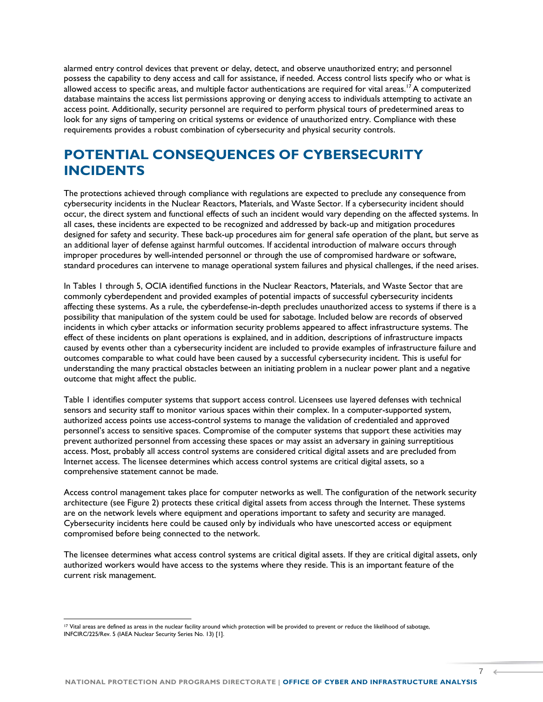alarmed entry control devices that prevent or delay, detect, and observe unauthorized entry; and personnel possess the capability to deny access and call for assistance, if needed. Access control lists specify who or what is allowed access to specific areas, and multiple factor authentications are required for vital areas.<sup>17</sup> A computerized database maintains the access list permissions approving or denying access to individuals attempting to activate an access point. Additionally, security personnel are required to perform physical tours of predetermined areas to look for any signs of tampering on critical systems or evidence of unauthorized entry. Compliance with these requirements provides a robust combination of cybersecurity and physical security controls.

### **POTENTIAL CONSEQUENCES OF CYBERSECURITY INCIDENTS**

The protections achieved through compliance with regulations are expected to preclude any consequence from cybersecurity incidents in the Nuclear Reactors, Materials, and Waste Sector. If a cybersecurity incident should occur, the direct system and functional effects of such an incident would vary depending on the affected systems. In all cases, these incidents are expected to be recognized and addressed by back-up and mitigation procedures designed for safety and security. These back-up procedures aim for general safe operation of the plant, but serve as an additional layer of defense against harmful outcomes. If accidental introduction of malware occurs through improper procedures by well-intended personnel or through the use of compromised hardware or software, standard procedures can intervene to manage operational system failures and physical challenges, if the need arises.

In Tables 1 through 5, OCIA identified functions in the Nuclear Reactors, Materials, and Waste Sector that are commonly cyberdependent and provided examples of potential impacts of successful cybersecurity incidents affecting these systems. As a rule, the cyberdefense-in-depth precludes unauthorized access to systems if there is a possibility that manipulation of the system could be used for sabotage. Included below are records of observed incidents in which cyber attacks or information security problems appeared to affect infrastructure systems. The effect of these incidents on plant operations is explained, and in addition, descriptions of infrastructure impacts caused by events other than a cybersecurity incident are included to provide examples of infrastructure failure and outcomes comparable to what could have been caused by a successful cybersecurity incident. This is useful for understanding the many practical obstacles between an initiating problem in a nuclear power plant and a negative outcome that might affect the public.

Table 1 identifies computer systems that support access control. Licensees use layered defenses with technical sensors and security staff to monitor various spaces within their complex. In a computer-supported system, authorized access points use access-control systems to manage the validation of credentialed and approved personnel's access to sensitive spaces. Compromise of the computer systems that support these activities may prevent authorized personnel from accessing these spaces or may assist an adversary in gaining surreptitious access. Most, probably all access control systems are considered critical digital assets and are precluded from Internet access. The licensee determines which access control systems are critical digital assets, so a comprehensive statement cannot be made.

Access control management takes place for computer networks as well. The configuration of the network security architecture (see Figure 2) protects these critical digital assets from access through the Internet. These systems are on the network levels where equipment and operations important to safety and security are managed. Cybersecurity incidents here could be caused only by individuals who have unescorted access or equipment compromised before being connected to the network.

The licensee determines what access control systems are critical digital assets. If they are critical digital assets, only authorized workers would have access to the systems where they reside. This is an important feature of the current risk management.

l

 $7 \leftarrow$ 

<sup>&</sup>lt;sup>17</sup> Vital areas are defined as areas in the nuclear facility around which protection will be provided to prevent or reduce the likelihood of sabotage, INFCIRC/225/Rev. 5 (IAEA Nuclear Security Series No. 13) [1].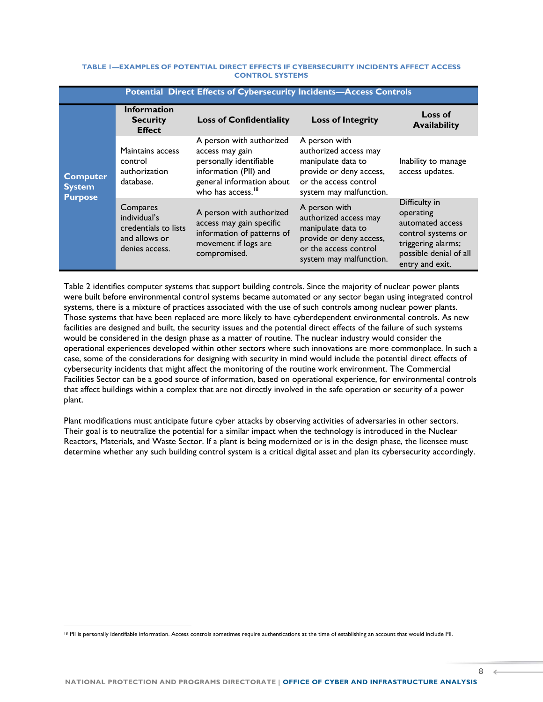#### **TABLE 1—EXAMPLES OF POTENTIAL DIRECT EFFECTS IF CYBERSECURITY INCIDENTS AFFECT ACCESS CONTROL SYSTEMS**

| <b>Potential Direct Effects of Cybersecurity Incidents-Access Controls</b> |                                                                                     |                                                                                                                                                               |                                                                                                                                             |                                                                                                                                         |  |
|----------------------------------------------------------------------------|-------------------------------------------------------------------------------------|---------------------------------------------------------------------------------------------------------------------------------------------------------------|---------------------------------------------------------------------------------------------------------------------------------------------|-----------------------------------------------------------------------------------------------------------------------------------------|--|
| <b>Computer</b><br><b>System</b><br><b>Purpose</b>                         | <b>Information</b><br><b>Security</b><br><b>Effect</b>                              | <b>Loss of Confidentiality</b>                                                                                                                                | <b>Loss of Integrity</b>                                                                                                                    | Loss of<br><b>Availability</b>                                                                                                          |  |
|                                                                            | Maintains access<br>control<br>authorization<br>database.                           | A person with authorized<br>access may gain<br>personally identifiable<br>information (PII) and<br>general information about<br>who has access. <sup>18</sup> | A person with<br>authorized access may<br>manipulate data to<br>provide or deny access,<br>or the access control<br>system may malfunction. | Inability to manage<br>access updates.                                                                                                  |  |
|                                                                            | Compares<br>individual's<br>credentials to lists<br>and allows or<br>denies access. | A person with authorized<br>access may gain specific<br>information of patterns of<br>movement if logs are<br>compromised.                                    | A person with<br>authorized access may<br>manipulate data to<br>provide or deny access,<br>or the access control<br>system may malfunction. | Difficulty in<br>operating<br>automated access<br>control systems or<br>triggering alarms;<br>possible denial of all<br>entry and exit. |  |

Table 2 identifies computer systems that support building controls. Since the majority of nuclear power plants were built before environmental control systems became automated or any sector began using integrated control systems, there is a mixture of practices associated with the use of such controls among nuclear power plants. Those systems that have been replaced are more likely to have cyberdependent environmental controls. As new facilities are designed and built, the security issues and the potential direct effects of the failure of such systems would be considered in the design phase as a matter of routine. The nuclear industry would consider the operational experiences developed within other sectors where such innovations are more commonplace. In such a case, some of the considerations for designing with security in mind would include the potential direct effects of cybersecurity incidents that might affect the monitoring of the routine work environment. The Commercial Facilities Sector can be a good source of information, based on operational experience, for environmental controls that affect buildings within a complex that are not directly involved in the safe operation or security of a power plant.

Plant modifications must anticipate future cyber attacks by observing activities of adversaries in other sectors. Their goal is to neutralize the potential for a similar impact when the technology is introduced in the Nuclear Reactors, Materials, and Waste Sector. If a plant is being modernized or is in the design phase, the licensee must determine whether any such building control system is a critical digital asset and plan its cybersecurity accordingly.

<sup>&</sup>lt;sup>18</sup> PII is personally identifiable information. Access controls sometimes require authentications at the time of establishing an account that would include PII.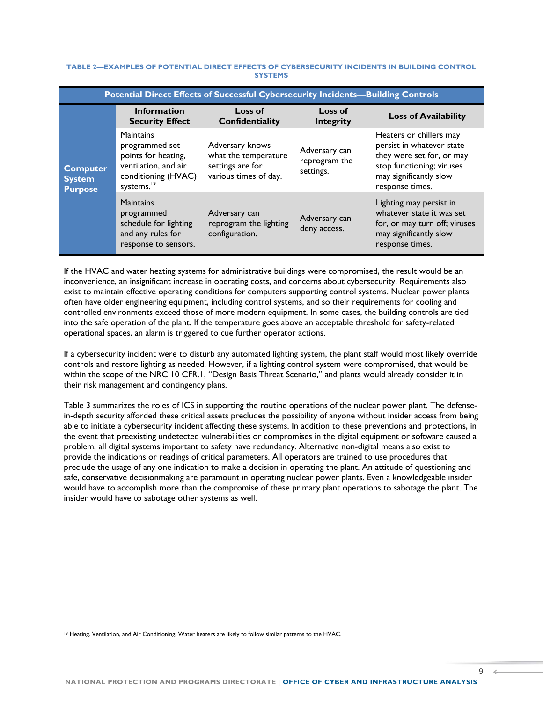#### **TABLE 2—EXAMPLES OF POTENTIAL DIRECT EFFECTS OF CYBERSECURITY INCIDENTS IN BUILDING CONTROL SYSTEMS**

| <b>Potential Direct Effects of Successful Cybersecurity Incidents-Building Controls</b> |                                                                                                                             |                                                                                      |                                             |                                                                                                                                                             |
|-----------------------------------------------------------------------------------------|-----------------------------------------------------------------------------------------------------------------------------|--------------------------------------------------------------------------------------|---------------------------------------------|-------------------------------------------------------------------------------------------------------------------------------------------------------------|
| <b>Computer</b><br><b>System</b><br><b>Purpose</b>                                      | <b>Information</b><br><b>Security Effect</b>                                                                                | Loss of<br><b>Confidentiality</b>                                                    | Loss of<br><b>Integrity</b>                 | <b>Loss of Availability</b>                                                                                                                                 |
|                                                                                         | Maintains<br>programmed set<br>points for heating,<br>ventilation, and air<br>conditioning (HVAC)<br>systems. <sup>19</sup> | Adversary knows<br>what the temperature<br>settings are for<br>various times of day. | Adversary can<br>reprogram the<br>settings. | Heaters or chillers may<br>persist in whatever state<br>they were set for, or may<br>stop functioning; viruses<br>may significantly slow<br>response times. |
|                                                                                         | <b>Maintains</b><br>programmed<br>schedule for lighting<br>and any rules for<br>response to sensors.                        | Adversary can<br>reprogram the lighting<br>configuration.                            | Adversary can<br>deny access.               | Lighting may persist in<br>whatever state it was set<br>for, or may turn off; viruses<br>may significantly slow<br>response times.                          |

If the HVAC and water heating systems for administrative buildings were compromised, the result would be an inconvenience, an insignificant increase in operating costs, and concerns about cybersecurity. Requirements also exist to maintain effective operating conditions for computers supporting control systems. Nuclear power plants often have older engineering equipment, including control systems, and so their requirements for cooling and controlled environments exceed those of more modern equipment. In some cases, the building controls are tied into the safe operation of the plant. If the temperature goes above an acceptable threshold for safety-related operational spaces, an alarm is triggered to cue further operator actions.

If a cybersecurity incident were to disturb any automated lighting system, the plant staff would most likely override controls and restore lighting as needed. However, if a lighting control system were compromised, that would be within the scope of the NRC 10 CFR.1, "Design Basis Threat Scenario," and plants would already consider it in their risk management and contingency plans.

Table 3 summarizes the roles of ICS in supporting the routine operations of the nuclear power plant. The defensein-depth security afforded these critical assets precludes the possibility of anyone without insider access from being able to initiate a cybersecurity incident affecting these systems. In addition to these preventions and protections, in the event that preexisting undetected vulnerabilities or compromises in the digital equipment or software caused a problem, all digital systems important to safety have redundancy. Alternative non-digital means also exist to provide the indications or readings of critical parameters. All operators are trained to use procedures that preclude the usage of any one indication to make a decision in operating the plant. An attitude of questioning and safe, conservative decisionmaking are paramount in operating nuclear power plants. Even a knowledgeable insider would have to accomplish more than the compromise of these primary plant operations to sabotage the plant. The insider would have to sabotage other systems as well.

<sup>19</sup> Heating, Ventilation, and Air Conditioning; Water heaters are likely to follow similar patterns to the HVAC.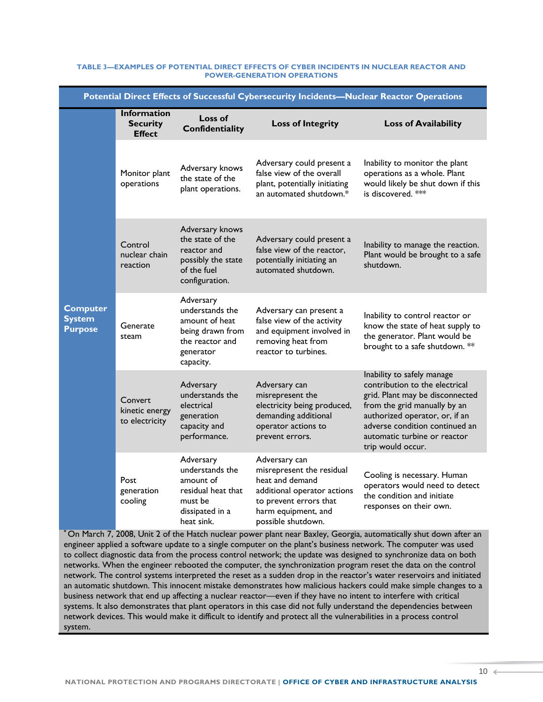| Potential Direct Effects of Successful Cybersecurity Incidents-Nuclear Reactor Operations |                                                        |                                                                                                                 |                                                                                                                                                                     |                                                                                                                                                                                                                                                          |  |
|-------------------------------------------------------------------------------------------|--------------------------------------------------------|-----------------------------------------------------------------------------------------------------------------|---------------------------------------------------------------------------------------------------------------------------------------------------------------------|----------------------------------------------------------------------------------------------------------------------------------------------------------------------------------------------------------------------------------------------------------|--|
|                                                                                           | <b>Information</b><br><b>Security</b><br><b>Effect</b> | Loss of<br>Confidentiality                                                                                      | <b>Loss of Integrity</b>                                                                                                                                            | <b>Loss of Availability</b>                                                                                                                                                                                                                              |  |
| <b>Computer</b><br><b>System</b><br><b>Purpose</b>                                        | Monitor plant<br>operations                            | Adversary knows<br>the state of the<br>plant operations.                                                        | Adversary could present a<br>false view of the overall<br>plant, potentially initiating<br>an automated shutdown.*                                                  | Inability to monitor the plant<br>operations as a whole. Plant<br>would likely be shut down if this<br>is discovered. ***                                                                                                                                |  |
|                                                                                           | Control<br>nuclear chain<br>reaction                   | Adversary knows<br>the state of the<br>reactor and<br>possibly the state<br>of the fuel<br>configuration.       | Adversary could present a<br>false view of the reactor,<br>potentially initiating an<br>automated shutdown.                                                         | Inability to manage the reaction.<br>Plant would be brought to a safe<br>shutdown.                                                                                                                                                                       |  |
|                                                                                           | Generate<br>steam                                      | Adversary<br>understands the<br>amount of heat<br>being drawn from<br>the reactor and<br>generator<br>capacity. | Adversary can present a<br>false view of the activity<br>and equipment involved in<br>removing heat from<br>reactor to turbines.                                    | Inability to control reactor or<br>know the state of heat supply to<br>the generator. Plant would be<br>brought to a safe shutdown. **                                                                                                                   |  |
|                                                                                           | Convert<br>kinetic energy<br>to electricity            | Adversary<br>understands the<br>electrical<br>generation<br>capacity and<br>performance.                        | Adversary can<br>misrepresent the<br>electricity being produced,<br>demanding additional<br>operator actions to<br>prevent errors.                                  | Inability to safely manage<br>contribution to the electrical<br>grid. Plant may be disconnected<br>from the grid manually by an<br>authorized operator, or, if an<br>adverse condition continued an<br>automatic turbine or reactor<br>trip would occur. |  |
|                                                                                           | Post<br>generation<br>cooling                          | Adversary<br>understands the<br>amount of<br>residual heat that<br>must be<br>dissipated in a<br>heat sink.     | Adversary can<br>misrepresent the residual<br>heat and demand<br>additional operator actions<br>to prevent errors that<br>harm equipment, and<br>possible shutdown. | Cooling is necessary. Human<br>operators would need to detect<br>the condition and initiate<br>responses on their own.                                                                                                                                   |  |

#### **TABLE 3—EXAMPLES OF POTENTIAL DIRECT EFFECTS OF CYBER INCIDENTS IN NUCLEAR REACTOR AND POWER-GENERATION OPERATIONS**

**\*** On March 7, 2008, Unit 2 of the Hatch nuclear power plant near Baxley, Georgia, automatically shut down after an engineer applied a software update to a single computer on the plant's business network. The computer was used to collect diagnostic data from the process control network; the update was designed to synchronize data on both networks. When the engineer rebooted the computer, the synchronization program reset the data on the control network. The control systems interpreted the reset as a sudden drop in the reactor's water reservoirs and initiated an automatic shutdown. This innocent mistake demonstrates how malicious hackers could make simple changes to a business network that end up affecting a nuclear reactor—even if they have no intent to interfere with critical systems. It also demonstrates that plant operators in this case did not fully understand the dependencies between network devices. This would make it difficult to identify and protect all the vulnerabilities in a process control system.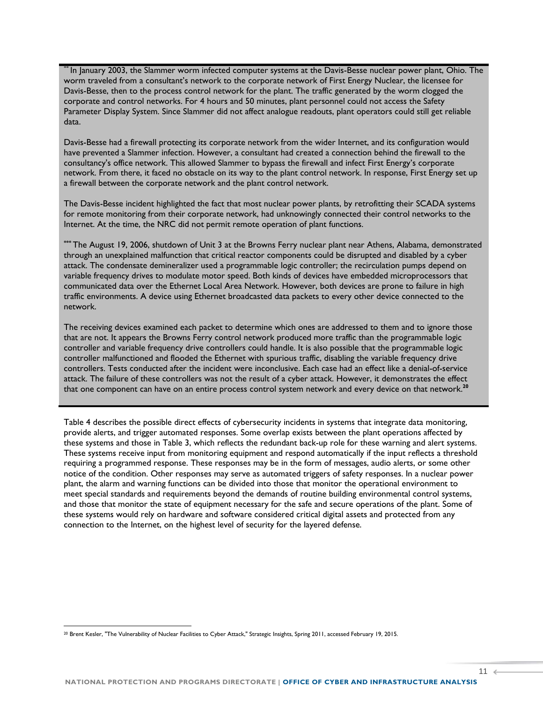**\*\*** In January 2003, the Slammer worm infected computer systems at the Davis-Besse nuclear power plant, Ohio. The worm traveled from a consultant's network to the corporate network of First Energy Nuclear, the licensee for Davis-Besse, then to the process control network for the plant. The traffic generated by the worm clogged the corporate and control networks. For 4 hours and 50 minutes, plant personnel could not access the Safety Parameter Display System. Since Slammer did not affect analogue readouts, plant operators could still get reliable data.

Davis-Besse had a firewall protecting its corporate network from the wider Internet, and its configuration would have prevented a Slammer infection. However, a consultant had created a connection behind the firewall to the consultancy's office network. This allowed Slammer to bypass the firewall and infect First Energy's corporate network. From there, it faced no obstacle on its way to the plant control network. In response, First Energy set up a firewall between the corporate network and the plant control network.

The Davis-Besse incident highlighted the fact that most nuclear power plants, by retrofitting their SCADA systems for remote monitoring from their corporate network, had unknowingly connected their control networks to the Internet. At the time, the NRC did not permit remote operation of plant functions.

**\*\*\*** The August 19, 2006, shutdown of Unit 3 at the Browns Ferry nuclear plant near Athens, Alabama, demonstrated through an unexplained malfunction that critical reactor components could be disrupted and disabled by a cyber attack. The condensate demineralizer used a programmable logic controller; the recirculation pumps depend on variable frequency drives to modulate motor speed. Both kinds of devices have embedded microprocessors that communicated data over the Ethernet Local Area Network. However, both devices are prone to failure in high traffic environments. A device using Ethernet broadcasted data packets to every other device connected to the network.

The receiving devices examined each packet to determine which ones are addressed to them and to ignore those that are not. It appears the Browns Ferry control network produced more traffic than the programmable logic controller and variable frequency drive controllers could handle. It is also possible that the programmable logic controller malfunctioned and flooded the Ethernet with spurious traffic, disabling the variable frequency drive controllers. Tests conducted after the incident were inconclusive. Each case had an effect like a denial-of-service attack. The failure of these controllers was not the result of a cyber attack. However, it demonstrates the effect that one component can have on an entire process control system network and every device on that network.**<sup>20</sup>**

Table 4 describes the possible direct effects of cybersecurity incidents in systems that integrate data monitoring, provide alerts, and trigger automated responses. Some overlap exists between the plant operations affected by these systems and those in Table 3, which reflects the redundant back-up role for these warning and alert systems. These systems receive input from monitoring equipment and respond automatically if the input reflects a threshold requiring a programmed response. These responses may be in the form of messages, audio alerts, or some other notice of the condition. Other responses may serve as automated triggers of safety responses. In a nuclear power plant, the alarm and warning functions can be divided into those that monitor the operational environment to meet special standards and requirements beyond the demands of routine building environmental control systems, and those that monitor the state of equipment necessary for the safe and secure operations of the plant. Some of these systems would rely on hardware and software considered critical digital assets and protected from any connection to the Internet, on the highest level of security for the layered defense.

<sup>20</sup> Brent Kesler, "The Vulnerability of Nuclear Facilities to Cyber Attack," Strategic Insights, Spring 2011, accessed February 19, 2015.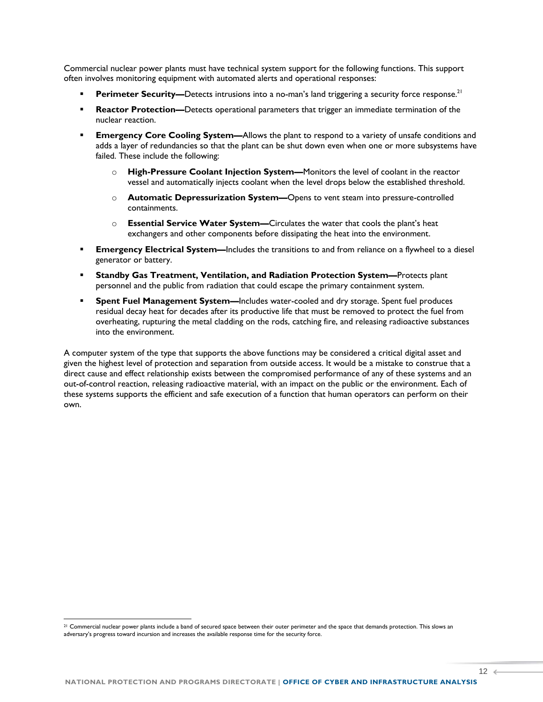Commercial nuclear power plants must have technical system support for the following functions. This support often involves monitoring equipment with automated alerts and operational responses:

- **Perimeter Security—Detects intrusions into a no-man's land triggering a security force response.<sup>21</sup>**
- **Reactor Protection—Detects operational parameters that trigger an immediate termination of the** nuclear reaction.
- **Emergency Core Cooling System—**Allows the plant to respond to a variety of unsafe conditions and adds a layer of redundancies so that the plant can be shut down even when one or more subsystems have failed. These include the following:
	- o **High-Pressure Coolant Injection System—**Monitors the level of coolant in the reactor vessel and automatically injects coolant when the level drops below the established threshold.
	- o **Automatic Depressurization System—**Opens to vent steam into pressure-controlled containments.
	- o **Essential Service Water System—**Circulates the water that cools the plant's heat exchangers and other components before dissipating the heat into the environment.
- **Emergency Electrical System—**Includes the transitions to and from reliance on a flywheel to a diesel generator or battery.
- **Standby Gas Treatment, Ventilation, and Radiation Protection System—**Protects plant personnel and the public from radiation that could escape the primary containment system.
- **Spent Fuel Management System—**Includes water-cooled and dry storage. Spent fuel produces residual decay heat for decades after its productive life that must be removed to protect the fuel from overheating, rupturing the metal cladding on the rods, catching fire, and releasing radioactive substances into the environment.

A computer system of the type that supports the above functions may be considered a critical digital asset and given the highest level of protection and separation from outside access. It would be a mistake to construe that a direct cause and effect relationship exists between the compromised performance of any of these systems and an out-of-control reaction, releasing radioactive material, with an impact on the public or the environment. Each of these systems supports the efficient and safe execution of a function that human operators can perform on their own.

<sup>&</sup>lt;sup>21</sup> Commercial nuclear power plants include a band of secured space between their outer perimeter and the space that demands protection. This slows an adversary's progress toward incursion and increases the available response time for the security force.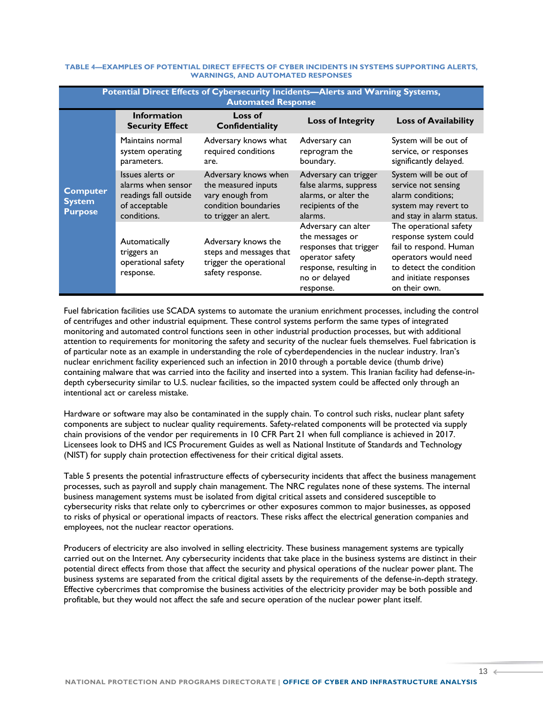| Potential Direct Effects of Cybersecurity Incidents-Alerts and Warning Systems,<br><b>Automated Response</b> |                                                                                                 |                                                                                                                 |                                                                                                                                             |                                                                                                                                                                         |
|--------------------------------------------------------------------------------------------------------------|-------------------------------------------------------------------------------------------------|-----------------------------------------------------------------------------------------------------------------|---------------------------------------------------------------------------------------------------------------------------------------------|-------------------------------------------------------------------------------------------------------------------------------------------------------------------------|
| <b>Computer</b><br><b>System</b><br><b>Purpose</b>                                                           | <b>Information</b><br><b>Security Effect</b>                                                    | Loss of<br>Confidentiality                                                                                      | <b>Loss of Integrity</b>                                                                                                                    | <b>Loss of Availability</b>                                                                                                                                             |
|                                                                                                              | Maintains normal<br>system operating<br>parameters.                                             | Adversary knows what<br>required conditions<br>are.                                                             | Adversary can<br>reprogram the<br>boundary.                                                                                                 | System will be out of<br>service, or responses<br>significantly delayed.                                                                                                |
|                                                                                                              | Issues alerts or<br>alarms when sensor<br>readings fall outside<br>of acceptable<br>conditions. | Adversary knows when<br>the measured inputs<br>vary enough from<br>condition boundaries<br>to trigger an alert. | Adversary can trigger<br>false alarms, suppress<br>alarms, or alter the<br>recipients of the<br>alarms.                                     | System will be out of<br>service not sensing<br>alarm conditions:<br>system may revert to<br>and stay in alarm status.                                                  |
|                                                                                                              | Automatically<br>triggers an<br>operational safety<br>response.                                 | Adversary knows the<br>steps and messages that<br>trigger the operational<br>safety response.                   | Adversary can alter<br>the messages or<br>responses that trigger<br>operator safety<br>response, resulting in<br>no or delayed<br>response. | The operational safety<br>response system could<br>fail to respond. Human<br>operators would need<br>to detect the condition<br>and initiate responses<br>on their own. |

#### **TABLE 4—EXAMPLES OF POTENTIAL DIRECT EFFECTS OF CYBER INCIDENTS IN SYSTEMS SUPPORTING ALERTS, WARNINGS, AND AUTOMATED RESPONSES**

Fuel fabrication facilities use SCADA systems to automate the uranium enrichment processes, including the control of centrifuges and other industrial equipment. These control systems perform the same types of integrated monitoring and automated control functions seen in other industrial production processes, but with additional attention to requirements for monitoring the safety and security of the nuclear fuels themselves. Fuel fabrication is of particular note as an example in understanding the role of cyberdependencies in the nuclear industry. Iran's nuclear enrichment facility experienced such an infection in 2010 through a portable device (thumb drive) containing malware that was carried into the facility and inserted into a system. This Iranian facility had defense-indepth cybersecurity similar to U.S. nuclear facilities, so the impacted system could be affected only through an intentional act or careless mistake.

Hardware or software may also be contaminated in the supply chain. To control such risks, nuclear plant safety components are subject to nuclear quality requirements. Safety-related components will be protected via supply chain provisions of the vendor per requirements in 10 CFR Part 21 when full compliance is achieved in 2017. Licensees look to DHS and ICS Procurement Guides as well as National Institute of Standards and Technology (NIST) for supply chain protection effectiveness for their critical digital assets.

Table 5 presents the potential infrastructure effects of cybersecurity incidents that affect the business management processes, such as payroll and supply chain management. The NRC regulates none of these systems. The internal business management systems must be isolated from digital critical assets and considered susceptible to cybersecurity risks that relate only to cybercrimes or other exposures common to major businesses, as opposed to risks of physical or operational impacts of reactors. These risks affect the electrical generation companies and employees, not the nuclear reactor operations.

Producers of electricity are also involved in selling electricity. These business management systems are typically carried out on the Internet. Any cybersecurity incidents that take place in the business systems are distinct in their potential direct effects from those that affect the security and physical operations of the nuclear power plant. The business systems are separated from the critical digital assets by the requirements of the defense-in-depth strategy. Effective cybercrimes that compromise the business activities of the electricity provider may be both possible and profitable, but they would not affect the safe and secure operation of the nuclear power plant itself.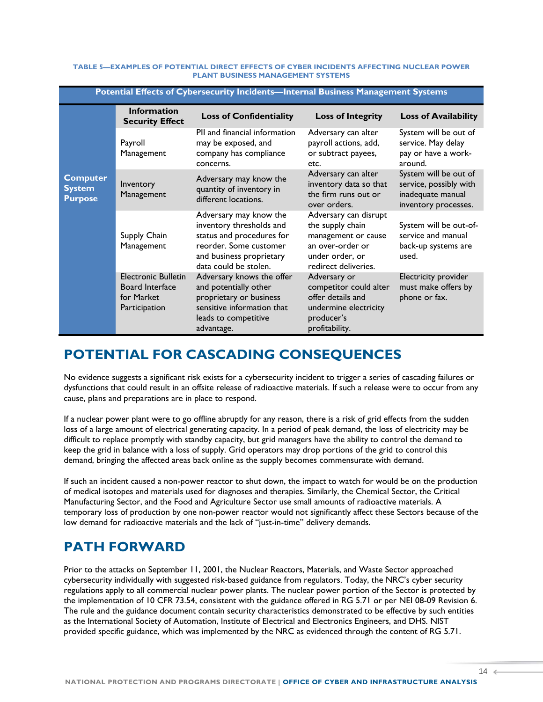#### **TABLE 5—EXAMPLES OF POTENTIAL DIRECT EFFECTS OF CYBER INCIDENTS AFFECTING NUCLEAR POWER PLANT BUSINESS MANAGEMENT SYSTEMS**

| Potential Effects of Cybersecurity Incidents-Internal Business Management Systems |                                                                              |                                                                                                                                                                |                                                                                                                                 |                                                                                              |  |  |
|-----------------------------------------------------------------------------------|------------------------------------------------------------------------------|----------------------------------------------------------------------------------------------------------------------------------------------------------------|---------------------------------------------------------------------------------------------------------------------------------|----------------------------------------------------------------------------------------------|--|--|
| <b>Computer</b><br><b>System</b><br><b>Purpose</b>                                | <b>Information</b><br><b>Security Effect</b>                                 | <b>Loss of Confidentiality</b>                                                                                                                                 | <b>Loss of Integrity</b>                                                                                                        | <b>Loss of Availability</b>                                                                  |  |  |
|                                                                                   | Payroll<br>Management                                                        | PII and financial information<br>may be exposed, and<br>company has compliance<br>concerns.                                                                    | Adversary can alter<br>payroll actions, add,<br>or subtract payees,<br>etc.                                                     | System will be out of<br>service. May delay<br>pay or have a work-<br>around.                |  |  |
|                                                                                   | Inventory<br>Management                                                      | Adversary may know the<br>quantity of inventory in<br>different locations.                                                                                     | Adversary can alter<br>inventory data so that<br>the firm runs out or<br>over orders.                                           | System will be out of<br>service, possibly with<br>inadequate manual<br>inventory processes. |  |  |
|                                                                                   | Supply Chain<br>Management                                                   | Adversary may know the<br>inventory thresholds and<br>status and procedures for<br>reorder. Some customer<br>and business proprietary<br>data could be stolen. | Adversary can disrupt<br>the supply chain<br>management or cause<br>an over-order or<br>under order, or<br>redirect deliveries. | System will be out-of-<br>service and manual<br>back-up systems are<br>used.                 |  |  |
|                                                                                   | <b>Electronic Bulletin</b><br>Board Interface<br>for Market<br>Participation | Adversary knows the offer<br>and potentially other<br>proprietary or business<br>sensitive information that<br>leads to competitive<br>advantage.              | Adversary or<br>competitor could alter<br>offer details and<br>undermine electricity<br>producer's<br>profitability.            | Electricity provider<br>must make offers by<br>phone or fax.                                 |  |  |

## **POTENTIAL FOR CASCADING CONSEQUENCES**

No evidence suggests a significant risk exists for a cybersecurity incident to trigger a series of cascading failures or dysfunctions that could result in an offsite release of radioactive materials. If such a release were to occur from any cause, plans and preparations are in place to respond.

If a nuclear power plant were to go offline abruptly for any reason, there is a risk of grid effects from the sudden loss of a large amount of electrical generating capacity. In a period of peak demand, the loss of electricity may be difficult to replace promptly with standby capacity, but grid managers have the ability to control the demand to keep the grid in balance with a loss of supply. Grid operators may drop portions of the grid to control this demand, bringing the affected areas back online as the supply becomes commensurate with demand.

If such an incident caused a non-power reactor to shut down, the impact to watch for would be on the production of medical isotopes and materials used for diagnoses and therapies. Similarly, the Chemical Sector, the Critical Manufacturing Sector, and the Food and Agriculture Sector use small amounts of radioactive materials. A temporary loss of production by one non-power reactor would not significantly affect these Sectors because of the low demand for radioactive materials and the lack of "just-in-time" delivery demands.

### **PATH FORWARD**

Prior to the attacks on September 11, 2001, the Nuclear Reactors, Materials, and Waste Sector approached cybersecurity individually with suggested risk-based guidance from regulators. Today, the NRC's cyber security regulations apply to all commercial nuclear power plants. The nuclear power portion of the Sector is protected by the implementation of 10 CFR 73.54, consistent with the guidance offered in RG 5.71 or per NEI 08-09 Revision 6. The rule and the guidance document contain security characteristics demonstrated to be effective by such entities as the International Society of Automation, Institute of Electrical and Electronics Engineers, and DHS. NIST provided specific guidance, which was implemented by the NRC as evidenced through the content of RG 5.71.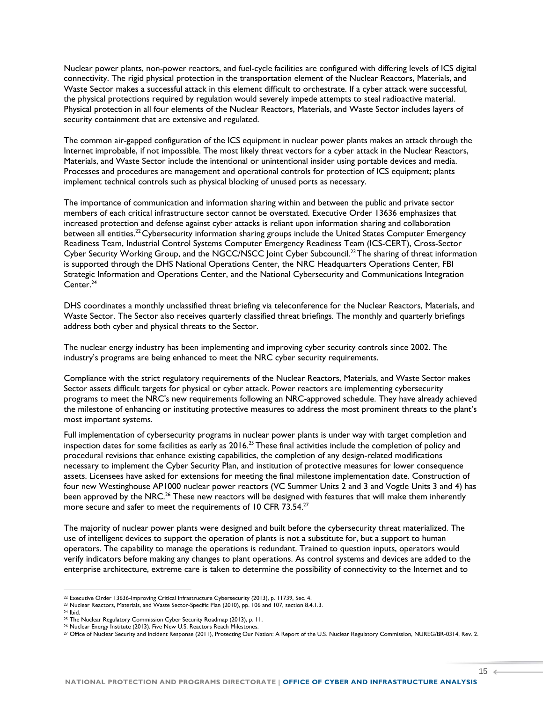Nuclear power plants, non-power reactors, and fuel-cycle facilities are configured with differing levels of ICS digital connectivity. The rigid physical protection in the transportation element of the Nuclear Reactors, Materials, and Waste Sector makes a successful attack in this element difficult to orchestrate. If a cyber attack were successful, the physical protections required by regulation would severely impede attempts to steal radioactive material. Physical protection in all four elements of the Nuclear Reactors, Materials, and Waste Sector includes layers of security containment that are extensive and regulated.

The common air-gapped configuration of the ICS equipment in nuclear power plants makes an attack through the Internet improbable, if not impossible. The most likely threat vectors for a cyber attack in the Nuclear Reactors, Materials, and Waste Sector include the intentional or unintentional insider using portable devices and media. Processes and procedures are management and operational controls for protection of ICS equipment; plants implement technical controls such as physical blocking of unused ports as necessary.

The importance of communication and information sharing within and between the public and private sector members of each critical infrastructure sector cannot be overstated. Executive Order 13636 emphasizes that increased protection and defense against cyber attacks is reliant upon information sharing and collaboration between all entities.<sup>22</sup> Cybersecurity information sharing groups include the United States Computer Emergency Readiness Team, Industrial Control Systems Computer Emergency Readiness Team (ICS-CERT), Cross-Sector Cyber Security Working Group, and the NGCC/NSCC Joint Cyber Subcouncil.<sup>23</sup>The sharing of threat information is supported through the DHS National Operations Center, the NRC Headquarters Operations Center, FBI Strategic Information and Operations Center, and the National Cybersecurity and Communications Integration Center.<sup>24</sup>

DHS coordinates a monthly unclassified threat briefing via teleconference for the Nuclear Reactors, Materials, and Waste Sector. The Sector also receives quarterly classified threat briefings. The monthly and quarterly briefings address both cyber and physical threats to the Sector.

The nuclear energy industry has been implementing and improving cyber security controls since 2002. The industry's programs are being enhanced to meet the NRC cyber security requirements.

Compliance with the strict regulatory requirements of the Nuclear Reactors, Materials, and Waste Sector makes Sector assets difficult targets for physical or cyber attack. Power reactors are implementing cybersecurity programs to meet the NRC's new requirements following an NRC-approved schedule. They have already achieved the milestone of enhancing or instituting protective measures to address the most prominent threats to the plant's most important systems.

Full implementation of cybersecurity programs in nuclear power plants is under way with target completion and inspection dates for some facilities as early as  $2016$ <sup>25</sup> These final activities include the completion of policy and procedural revisions that enhance existing capabilities, the completion of any design-related modifications necessary to implement the Cyber Security Plan, and institution of protective measures for lower consequence assets. Licensees have asked for extensions for meeting the final milestone implementation date. Construction of four new Westinghouse AP1000 nuclear power reactors (VC Summer Units 2 and 3 and Vogtle Units 3 and 4) has been approved by the NRC.<sup>26</sup> These new reactors will be designed with features that will make them inherently more secure and safer to meet the requirements of 10 CFR 73.54. $^{27}$ 

The majority of nuclear power plants were designed and built before the cybersecurity threat materialized. The use of intelligent devices to support the operation of plants is not a substitute for, but a support to human operators. The capability to manage the operations is redundant. Trained to question inputs, operators would verify indicators before making any changes to plant operations. As control systems and devices are added to the enterprise architecture, extreme care is taken to determine the possibility of connectivity to the Internet and to

<sup>22</sup> Executive Order 13636-Improving Critical Infrastructure Cybersecurity (2013), p. 11739, Sec. 4.

<sup>23</sup> Nuclear Reactors, Materials, and Waste Sector-Specific Plan (2010), pp. 106 and 107, section 8.4.1.3.

<sup>24</sup> Ibid.

<sup>25</sup> The Nuclear Regulatory Commission Cyber Security Roadmap (2013), p. 11.

<sup>26</sup> Nuclear Energy Institute (2013). Five New U.S. Reactors Reach Milestones.

<sup>27</sup> Office of Nuclear Security and Incident Response (2011), Protecting Our Nation: A Report of the U.S. Nuclear Regulatory Commission, NUREG/BR-0314, Rev. 2.